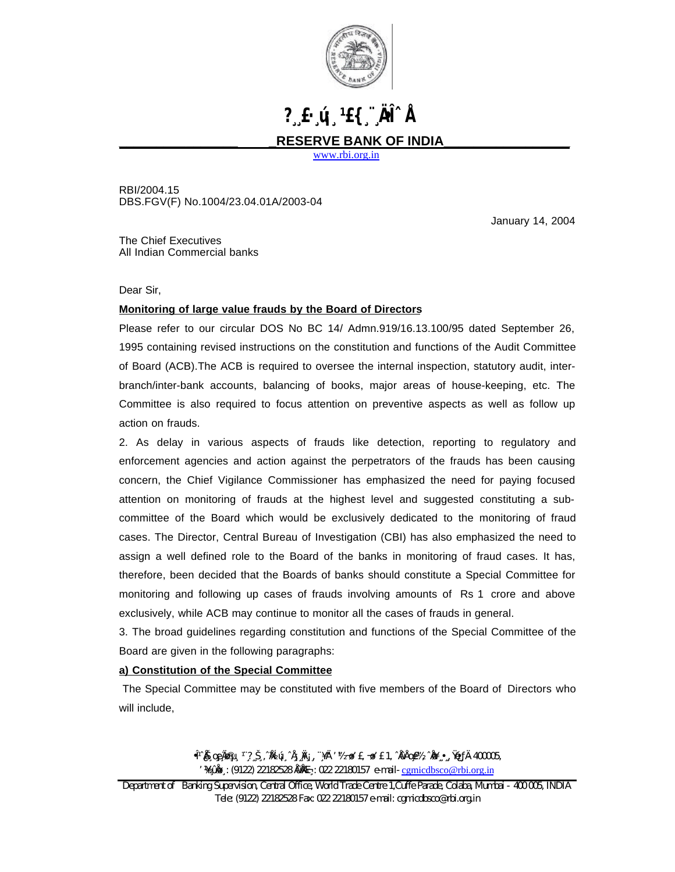

**?¸¸£·¸ú¡¸ ¹£{¸¨¸Ä •ΈÅ** RESERVE BANK OF INDIA

www.rbi.org.in

RBI/2004.15 DBS.FGV(F) No.1004/23.04.01A/2003-04

January 14, 2004

The Chief Executives All Indian Commercial banks

Dear Sir,

## **Monitoring of large value frauds by the Board of Directors**

Please refer to our circular DOS No BC 14/ Admn.919/16.13.100/95 dated September 26, 1995 containing revised instructions on the constitution and functions of the Audit Committee of Board (ACB).The ACB is required to oversee the internal inspection, statutory audit, interbranch/inter-bank accounts, balancing of books, major areas of house-keeping, etc. The Committee is also required to focus attention on preventive aspects as well as follow up action on frauds.

2. As delay in various aspects of frauds like detection, reporting to regulatory and enforcement agencies and action against the perpetrators of the frauds has been causing concern, the Chief Vigilance Commissioner has emphasized the need for paying focused attention on monitoring of frauds at the highest level and suggested constituting a subcommittee of the Board which would be exclusively dedicated to the monitoring of fraud cases. The Director, Central Bureau of Investigation (CBI) has also emphasized the need to assign a well defined role to the Board of the banks in monitoring of fraud cases. It has, therefore, been decided that the Boards of banks should constitute a Special Committee for monitoring and following up cases of frauds involving amounts of Rs 1 crore and above exclusively, while ACB may continue to monitor all the cases of frauds in general.

3. The broad guidelines regarding constitution and functions of the Special Committee of the Board are given in the following paragraphs:

# **a) Constitution of the Special Committee**

 The Special Committee may be constituted with five members of the Board of Directors who will include,

> • Î<sup>↑</sup>}Š, œ¡jĂø®,µ, 『¨,?,,Š, ,ˆ½[ú¡, ˆÅ¡,,¥¸¡, ,¨,¥Ä" '½ ¬ø'£, ¬ø'£ 1, ˆÅûÅ œ¸£½, ˆÅø¥,¸•¸,, Ÿę̂• ƒÄ- 400005, ' ¥ û *N*<sub>2</sub> : (9122) 22182528 Aû k<sub>1</sub> : 022 22180157 e-mail- cgmicdbsco@rbi.org.in

Department of Banking Supervision, Central Office, World Trade Centre 1,Cuffe Parade, Colaba, Mumbai - 400 005, INDIA Tele: (9122) 22182528 Fax: 022 22180157 e-mail: cgmicdbsco@rbi.org.in